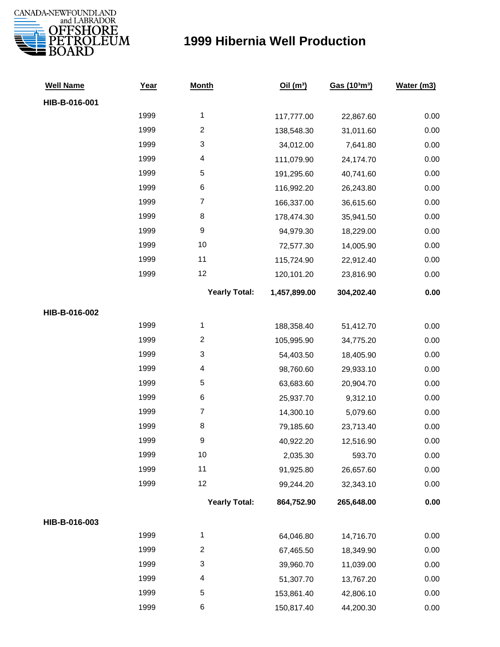

## **1999 Hibernia Well Production**

| <b>Well Name</b> | Year | <b>Month</b>            | Oil(m <sup>3</sup> ) | Gas (103m3) | Water (m3) |
|------------------|------|-------------------------|----------------------|-------------|------------|
| HIB-B-016-001    |      |                         |                      |             |            |
|                  | 1999 | $\mathbf{1}$            | 117,777.00           | 22,867.60   | 0.00       |
|                  | 1999 | $\overline{c}$          | 138,548.30           | 31,011.60   | 0.00       |
|                  | 1999 | 3                       | 34,012.00            | 7,641.80    | 0.00       |
|                  | 1999 | 4                       | 111,079.90           | 24,174.70   | 0.00       |
|                  | 1999 | $\mathbf 5$             | 191,295.60           | 40,741.60   | 0.00       |
|                  | 1999 | 6                       | 116,992.20           | 26,243.80   | 0.00       |
|                  | 1999 | $\boldsymbol{7}$        | 166,337.00           | 36,615.60   | 0.00       |
|                  | 1999 | 8                       | 178,474.30           | 35,941.50   | 0.00       |
|                  | 1999 | $\boldsymbol{9}$        | 94,979.30            | 18,229.00   | 0.00       |
|                  | 1999 | 10                      | 72,577.30            | 14,005.90   | 0.00       |
|                  | 1999 | 11                      | 115,724.90           | 22,912.40   | 0.00       |
|                  | 1999 | 12                      | 120,101.20           | 23,816.90   | 0.00       |
|                  |      | <b>Yearly Total:</b>    | 1,457,899.00         | 304,202.40  | 0.00       |
| HIB-B-016-002    |      |                         |                      |             |            |
|                  | 1999 | $\mathbf 1$             | 188,358.40           | 51,412.70   | 0.00       |
|                  | 1999 | $\overline{c}$          | 105,995.90           | 34,775.20   | 0.00       |
|                  | 1999 | 3                       | 54,403.50            | 18,405.90   | 0.00       |
|                  | 1999 | 4                       | 98,760.60            | 29,933.10   | 0.00       |
|                  | 1999 | 5                       | 63,683.60            | 20,904.70   | 0.00       |
|                  | 1999 | 6                       | 25,937.70            | 9,312.10    | 0.00       |
|                  | 1999 | $\overline{7}$          | 14,300.10            | 5,079.60    | 0.00       |
|                  | 1999 | 8                       | 79,185.60            | 23,713.40   | 0.00       |
|                  | 1999 | 9                       | 40,922.20            | 12,516.90   | 0.00       |
|                  | 1999 | 10                      | 2,035.30             | 593.70      | 0.00       |
|                  | 1999 | 11                      | 91,925.80            | 26,657.60   | 0.00       |
|                  | 1999 | 12                      | 99,244.20            | 32,343.10   | 0.00       |
|                  |      | <b>Yearly Total:</b>    | 864,752.90           | 265,648.00  | 0.00       |
| HIB-B-016-003    |      |                         |                      |             |            |
|                  | 1999 | $\mathbf{1}$            | 64,046.80            | 14,716.70   | 0.00       |
|                  | 1999 | $\overline{c}$          | 67,465.50            | 18,349.90   | 0.00       |
|                  | 1999 | 3                       | 39,960.70            | 11,039.00   | 0.00       |
|                  | 1999 | $\overline{\mathbf{4}}$ | 51,307.70            | 13,767.20   | 0.00       |
|                  | 1999 | 5                       | 153,861.40           | 42,806.10   | 0.00       |
|                  | 1999 | 6                       | 150,817.40           | 44,200.30   | 0.00       |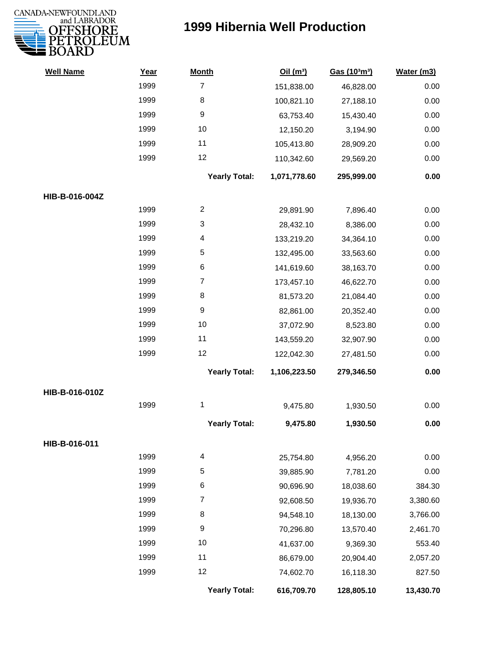

## **1999 Hibernia Well Production**

| <b>Well Name</b> | Year | <b>Month</b>         | Oil(m <sup>3</sup> ) | Gas (103m3) | Water (m3) |
|------------------|------|----------------------|----------------------|-------------|------------|
|                  | 1999 | $\overline{7}$       | 151,838.00           | 46,828.00   | 0.00       |
|                  | 1999 | 8                    | 100,821.10           | 27,188.10   | 0.00       |
|                  | 1999 | 9                    | 63,753.40            | 15,430.40   | 0.00       |
|                  | 1999 | 10                   | 12,150.20            | 3,194.90    | 0.00       |
|                  | 1999 | 11                   | 105,413.80           | 28,909.20   | 0.00       |
|                  | 1999 | 12                   | 110,342.60           | 29,569.20   | 0.00       |
|                  |      | <b>Yearly Total:</b> | 1,071,778.60         | 295,999.00  | 0.00       |
| HIB-B-016-004Z   |      |                      |                      |             |            |
|                  | 1999 | $\overline{c}$       | 29,891.90            | 7,896.40    | 0.00       |
|                  | 1999 | 3                    | 28,432.10            | 8,386.00    | 0.00       |
|                  | 1999 | 4                    | 133,219.20           | 34,364.10   | 0.00       |
|                  | 1999 | 5                    | 132,495.00           | 33,563.60   | 0.00       |
|                  | 1999 | 6                    | 141,619.60           | 38,163.70   | 0.00       |
|                  | 1999 | $\overline{7}$       | 173,457.10           | 46,622.70   | 0.00       |
|                  | 1999 | 8                    | 81,573.20            | 21,084.40   | 0.00       |
|                  | 1999 | 9                    | 82,861.00            | 20,352.40   | 0.00       |
|                  | 1999 | 10                   | 37,072.90            | 8,523.80    | 0.00       |
|                  | 1999 | 11                   | 143,559.20           | 32,907.90   | 0.00       |
|                  | 1999 | 12                   | 122,042.30           | 27,481.50   | 0.00       |
|                  |      | <b>Yearly Total:</b> | 1,106,223.50         | 279,346.50  | 0.00       |
| HIB-B-016-010Z   |      |                      |                      |             |            |
|                  | 1999 | 1                    | 9,475.80             | 1,930.50    | 0.00       |
|                  |      | <b>Yearly Total:</b> | 9,475.80             | 1,930.50    | 0.00       |
| HIB-B-016-011    |      |                      |                      |             |            |
|                  | 1999 | 4                    | 25,754.80            | 4,956.20    | 0.00       |
|                  | 1999 | 5                    | 39,885.90            | 7,781.20    | 0.00       |
|                  | 1999 | 6                    | 90,696.90            | 18,038.60   | 384.30     |
|                  | 1999 | 7                    | 92,608.50            | 19,936.70   | 3,380.60   |
|                  | 1999 | 8                    | 94,548.10            | 18,130.00   | 3,766.00   |
|                  | 1999 | 9                    | 70,296.80            | 13,570.40   | 2,461.70   |
|                  | 1999 | 10                   | 41,637.00            | 9,369.30    | 553.40     |
|                  | 1999 | 11                   | 86,679.00            | 20,904.40   | 2,057.20   |
|                  | 1999 | 12                   | 74,602.70            | 16,118.30   | 827.50     |
|                  |      | <b>Yearly Total:</b> | 616,709.70           | 128,805.10  | 13,430.70  |